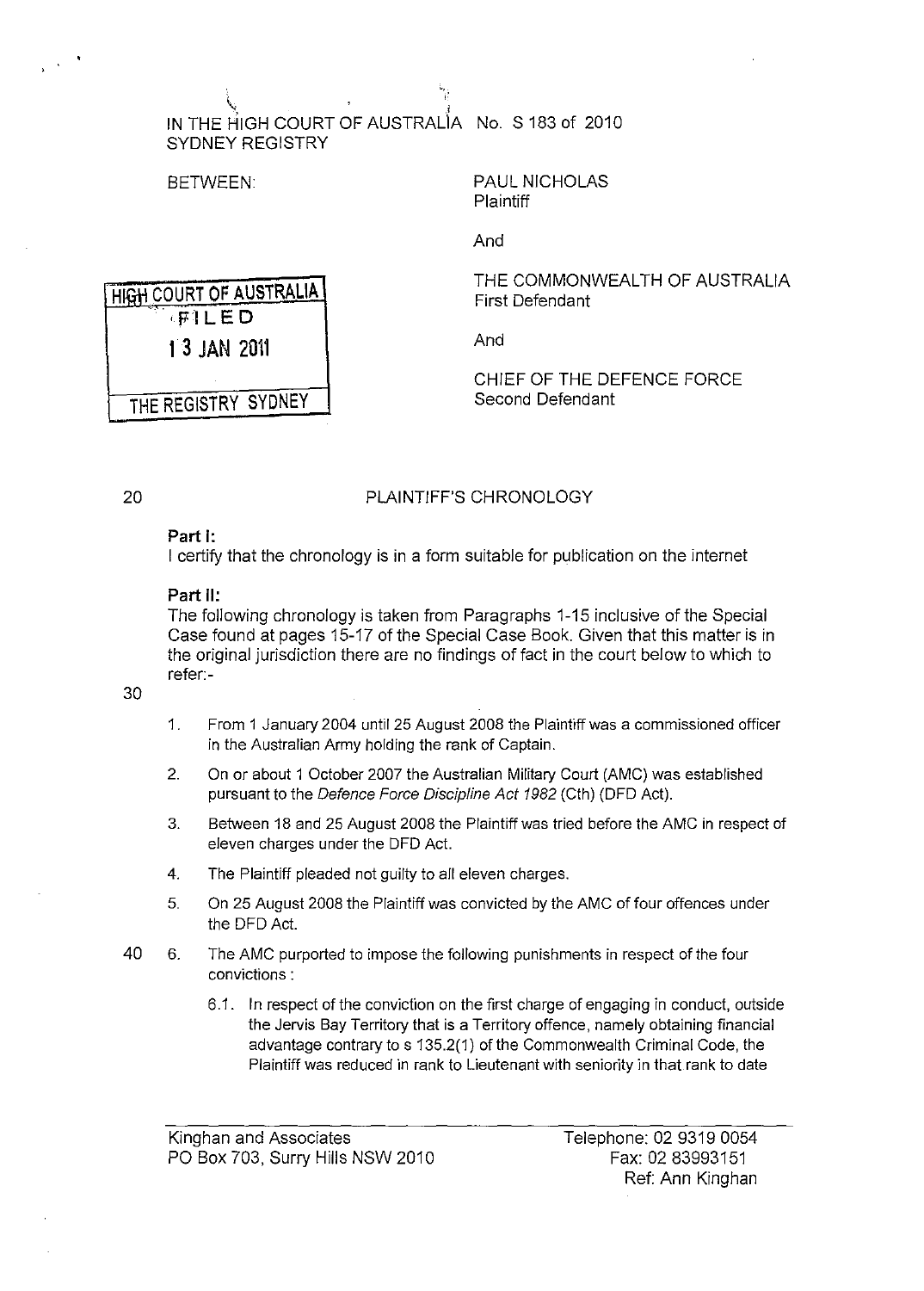$\mathcal{N}$  , I and I amplitude to the set of  $\mathcal{N}$ IN THE HIGH COURT OF AUSTRALIA No, S 183 of 2010 SYDNEY REGISTRY

'. I:

HIGH COURT OF AUSTRALIA ,FILED

1 3 JAN 2011

THE REGISTRY SYDNEY

BETWEEN: PAUL NICHOLAS **Plaintiff** 

And

THE COMMONWEALTH OF AUSTRALIA First Defendant

And

CHIEF OF THE DEFENCE FORCE Second Defendant

## PLAINTIFF'S CHRONOLOGY

## Part I:

I certify that the chronology is in a form suitable for publication on the internet

## Part 11:

The following chronology is taken from Paragraphs 1-15 inclusive of the Special Case found at pages 15-17 of the Special Case Book, Given that this matter is in the original jurisdiction there are no findings of fact in the court below to which to refer:-

30

20

- 1, From 1 January 2004 until 25 August 2008 the Plaintiff was a commissioned officer in the Australian Army holding the rank of Captain,
- 2, On or about 1 October 2007 the Australian Military Court (AMC) was established pursuant to the Defence Force Discipline Act 1982 (Cth) (DFD Act),
- 3, Between 18 and 25 August 2008 the Plaintiff was tried before the AMC in respect of eleven charges under the DFD Act.
- 4, The Plaintiff pleaded not guilty to all eleven charges,
- 5, On 25 August 2008 the Plaintiff was convicted by the AMC of four offences under the DFD Act.
- 40 6, The AMC purported to impose the following punishments in respect of the four convictions:
	- 6.1. In respect of the conviction on the first charge of engaging in conduct, outside the Jervis Bay Territory that is a Territory offence, namely obtaining financial advantage contrary to s 135.2(1) of the Commonwealth Criminal Code, the Plaintiff was reduced in rank to Lieutenant with seniority in that rank to date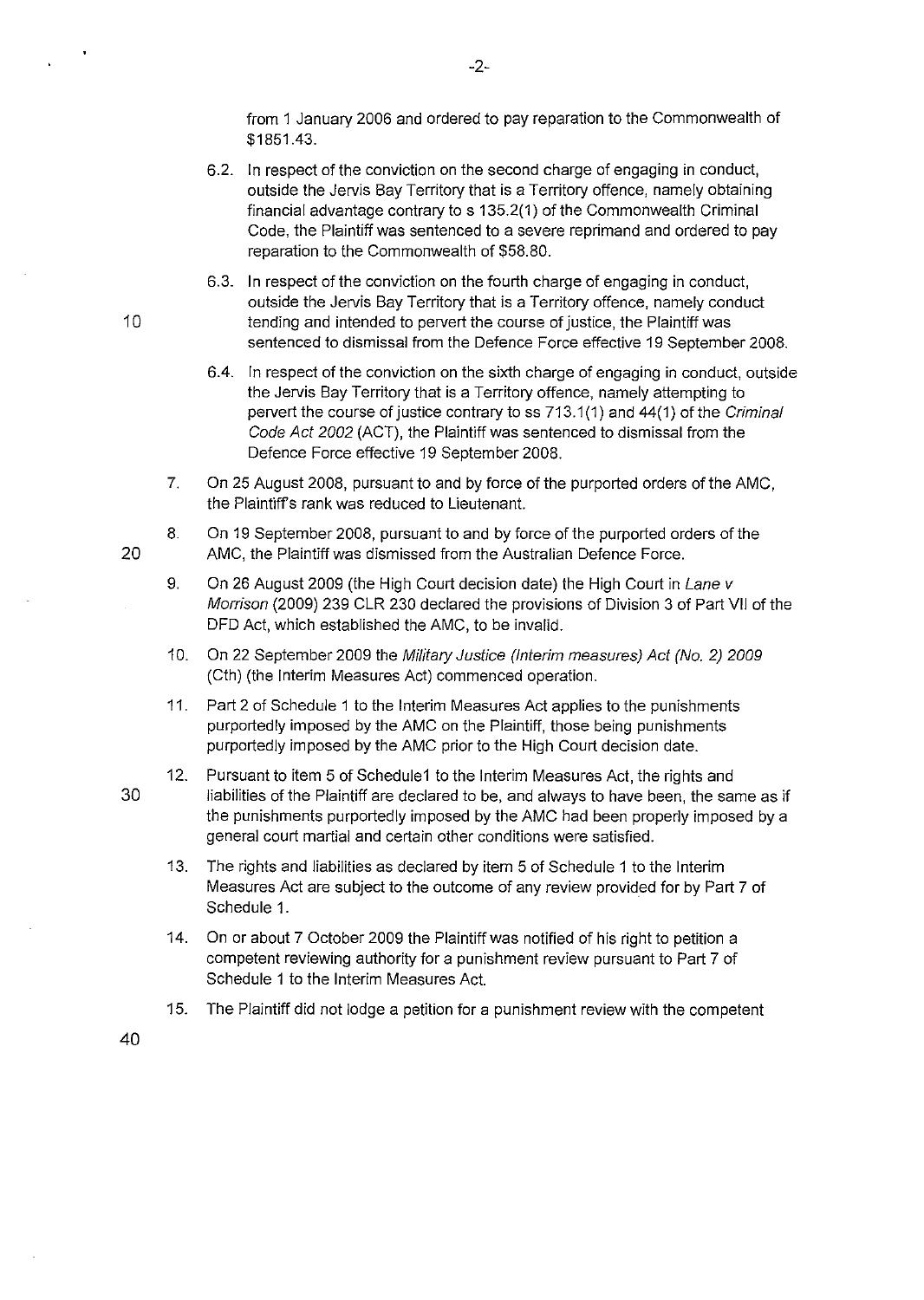from 1 January 2006 and ordered to pay reparation to the Commonwealth of \$1851.43.

- 6.2. **In** respect of the conviction on the second charge of engaging in conduct, outside the Jervis Bay Territory that is a Territory offence, namely obtaining financial advantage contrary to s 135.2(1) of the Commonwealth Criminal Code, the Plaintiff was sentenced to a severe reprimand and ordered to pay reparation to the Commonwealth of \$58.80.
- 6.3. **In** respect of the conviction on the fourth charge of engaging in conduct, outside the Jervis Bay Territory that is a Territory offence, namely conduct 10 tending and intended to pervert the course of justice, the Plaintiff was sentenced to dismissal from the Defence Force effective 19 September 2008.
	- 6.4. **In** respect of the conviction on the sixth charge of engaging in conduct, outside the Jervis Bay Territory that is a Territory offence, namely attempting to pervert the course of justice contrary to ss 713.1 (1) and 44(1) of the Criminal Code Act 2002 (ACT), the Plaintiff was sentenced to dismissal from the Defence Force effective 19 September 2008.
	- 7. On 25 August 2008, pursuant to and by force of the purported orders of the AMC, the Plaintiffs rank was reduced to Lieutenant.
- 8. On 19 September 2008, pursuant to and by force of the purported orders of the 20 AMC, the Plaintiff was dismissed from the Australian Defence Force.
	- 9. On 26 August 2009 (the High Court decision date) the High Court in Lane v Morrison (2009) 239 CLR 230 declared the provisions of Division 3 of Part **VII** of the DFD Act, which established the AMC, to be invalid.
	- 10. On 22 September 2009 the Military Justice (Interim measures) Act (No. 2) 2009 (Cth) (the Interim Measures Act) commenced operation.
	- 11. Part 2 of Schedule 1 to the Interim Measures Act applies to the punishments purportedly imposed by the AMC on the Plaintiff, those being punishments purportedly imposed by the AMC prior to the High Court decision date.
- 12. Pursuant to item 5 of Schedule1 to the Interim Measures Act, the rights and 30 liabilities of the Plaintiff are declared to be, and always to have been, the same as if the punishments purportedly imposed by the AMC had been properly imposed by a general court martial and certain other conditions were satisfied.
	- 13. The rights and liabilities as declared by item 5 of Schedule 1 to the Interim Measures Act are subject to the outcome of any review provided for by Part 7 of Schedule 1.
	- 14. On or about 7 October 2009 the Plaintiff was notified of his right to petition a competent reviewing authority for a punishment review pursuant to Part 7 of Schedule 1 to the Interim Measures Act.
	- 15. The Plaintiff did not lodge a petition for a punishment review with the competent

40